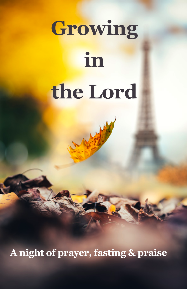# **Growing in the Lord**

**A night of prayer, fasting & praise**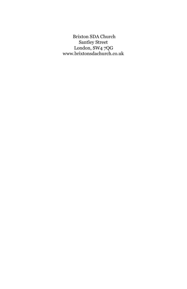Brixton SDA Church Santley Street London, SW4 7QG www.brixtonsdachurch.co.uk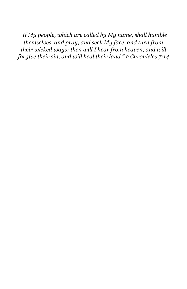*If My people, which are called by My name, shall humble themselves, and pray, and seek My face, and turn from their wicked ways; then will I hear from heaven, and will forgive their sin, and will heal their land." 2 Chronicles 7:14*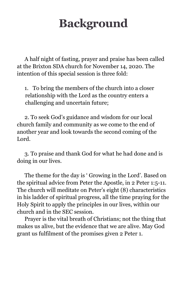# **Background**

A half night of fasting, prayer and praise has been called at the Brixton SDA church for November 14, 2020. The intention of this special session is three fold:

1. To bring the members of the church into a closer relationship with the Lord as the country enters a challenging and uncertain future;

2. To seek God's guidance and wisdom for our local church family and community as we come to the end of another year and look towards the second coming of the Lord.

3. To praise and thank God for what he had done and is doing in our lives.

The theme for the day is ' Growing in the Lord'. Based on the spiritual advice from Peter the Apostle, in 2 Peter 1:5-11. The church will meditate on Peter's eight (8) characteristics in his ladder of spiritual progress, all the time praying for the Holy Spirit to apply the principles in our lives, within our church and in the SEC session.

Prayer is the vital breath of Christians; not the thing that makes us alive, but the evidence that we are alive. May God grant us fulfilment of the promises given 2 Peter 1.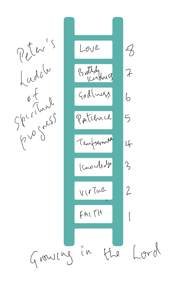

 $Lorol$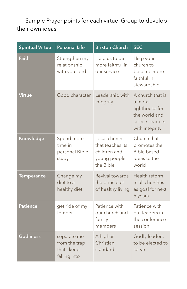Sample Prayer points for each virtue. Group to develop their own ideas.

| <b>Spiritual Virtue</b> | <b>Personal Life</b>                                        | <b>Brixton Church</b>                                                         | <b>SEC</b>                                                                                          |
|-------------------------|-------------------------------------------------------------|-------------------------------------------------------------------------------|-----------------------------------------------------------------------------------------------------|
| Faith                   | Strengthen my<br>relationship<br>with you Lord              | Help us to be<br>more faithful in<br>our service                              | Help your<br>church to<br>become more<br>faithful in<br>stewardship                                 |
| Virtue                  | Good character                                              | Leadership with<br>integrity                                                  | A church that is<br>a moral<br>lighthouse for<br>the world and<br>selects leaders<br>with integrity |
| Knowledge               | Spend more<br>time in<br>personal Bible<br>study            | Local church<br>that teaches its<br>children and<br>young people<br>the Bible | Church that<br>promotes the<br><b>Bible based</b><br>ideas to the<br>world                          |
| <b>Temperance</b>       | Change my<br>diet to a<br>healthy diet                      | Revival towards<br>the principles<br>of healthy living                        | Health reform<br>in all churches<br>as goal for next<br>5 years                                     |
| <b>Patience</b>         | get ride of my<br>temper                                    | Patience with<br>our church and<br>family<br>members                          | Patience with<br>our leaders in<br>the conference<br>session                                        |
| <b>Godliness</b>        | separate me<br>from the trap<br>that I keep<br>falling into | A higher<br>Christian<br>standard                                             | Godly leaders<br>to be elected to<br>serve                                                          |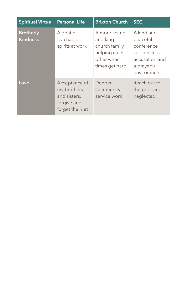| <b>Spiritual Virtue</b>             | Personal Life                                                                  | <b>Brixton Church</b>                                                                       | <b>SEC</b>                                                                                            |
|-------------------------------------|--------------------------------------------------------------------------------|---------------------------------------------------------------------------------------------|-------------------------------------------------------------------------------------------------------|
| <b>Brotherly</b><br><b>Kindness</b> | A gentle<br>teachable<br>spirits at work                                       | A more loving<br>and king<br>church family,<br>helping each<br>other when<br>times get hard | A kind and<br>peaceful<br>conference<br>session, less<br>accusation and<br>a prayerful<br>environment |
| Love                                | Acceptance of<br>my brothers<br>and sisters,<br>forgive and<br>forget the hurt | Deeper<br>Community<br>service work                                                         | Reach out to<br>the poor and<br>neglected                                                             |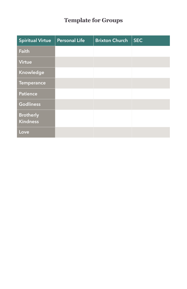### **Template for Groups**

| <b>Spiritual Virtue</b>             | <b>Personal Life</b> | <b>Brixton Church</b> | <b>SEC</b> |
|-------------------------------------|----------------------|-----------------------|------------|
| Faith                               |                      |                       |            |
| <b>Virtue</b>                       |                      |                       |            |
| Knowledge                           |                      |                       |            |
| <b>Temperance</b>                   |                      |                       |            |
| <b>Patience</b>                     |                      |                       |            |
| <b>Godliness</b>                    |                      |                       |            |
| <b>Brotherly</b><br><b>Kindness</b> |                      |                       |            |
| Love                                |                      |                       |            |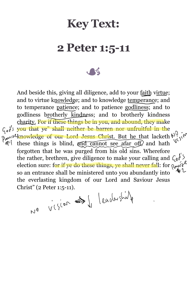### **Key Text:**

### **2 Peter 1:5-11**

 $\sqrt{2}$ 

And beside this, giving all diligence, add to your faith virtue; and to virtue knowledge; and to knowledge temperance; and to temperance patience; and to patience godliness; and to godliness brotherly kindness; and to brotherly kindness charity. For if these things be in you, and abound, they make  $\zeta_{\theta}$ ,  $\zeta_{\theta}$  you that ye" shall neither be barren nor unfruitful in the Aczen<br>Mj  $\gamma_{\ell m}$ <sup>k</sup> knowledge of our Lord Jesus Christ. But he that lacketh  $\mu^0$ . these things is blind, and cannot see afar off, and hath Æ1 forgotten that he was purged from his old sins. Wherefore the rather, brethren, give diligence to make your calling and  $\zeta_0 \hat{\phi}$ . election sure: for if ye do these things, ye shall never fall: for  $\alpha_{\mathbf{y}}$ so an entrance shall be ministered unto you abundantly into the everlasting kingdom of our Lord and Saviour Jesus

Christ" (2 Peter 1:5-11).<br>  $V^0$   $V(\{e^{0\lambda} \iff \int_{\lambda}^{\lambda} | \ell \alpha \nu \alpha \}$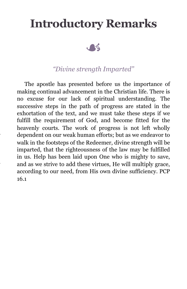### **Introductory Remarks**



#### *"Divine strength Imparted"*

The apostle has presented before us the importance of making continual advancement in the Christian life. There is no excuse for our lack of spiritual understanding. The successive steps in the path of progress are stated in the exhortation of the text, and we must take these steps if we fulfill the requirement of God, and become fitted for the heavenly courts. The work of progress is not left wholly dependent on our weak human efforts; but as we endeavor to walk in the footsteps of the Redeemer, divine strength will be imparted, that the righteousness of the law may be fulfilled in us. Help has been laid upon One who is mighty to save, and as we strive to add these virtues, He will multiply grace, according to our need, from His own divine sufficiency. PCP 16.1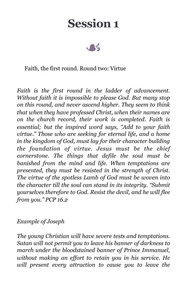

#### Faith, the first round. Round two: Virtue

*Faith is the first round in the ladder of advancement. Without faith it is impossible to please God. But many stop on this round, and never ascend higher. They seem to think that when they have professed Christ, when their names are on the church record, their work is completed. Faith is essential; but the inspired word says, "Add to your faith virtue." Those who are seeking for eternal life, and a home in the kingdom of God, must lay for their character building the foundation of virtue. Jesus must be the chief cornerstone. The things that defile the soul must be banished from the mind and life. When temptations are presented, they must be resisted in the strength of Christ. The virtue of the spotless Lamb of God must be woven into the character till the soul can stand in its integrity. "Submit yourselves therefore to God. Resist the devil, and he will flee from you." PCP 16.2* 

#### *Example of Joseph*

*The young Christian will have severe tests and temptations. Satan will not permit you to leave his banner of darkness to march under the bloodstained banner of Prince Immanuel, without making an effort to retain you in his service. He will present every attraction to cause you to leave the*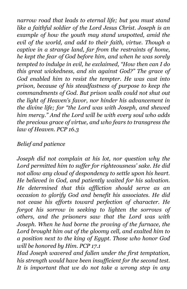*narrow road that leads to eternal life; but you must stand like a faithful soldier of the Lord Jesus Christ. Joseph is an example of how the youth may stand unspotted, amid the evil of the world, and add to their faith, virtue. Though a captive in a strange land, far from the restraints of home, he kept the fear of God before him, and when he was sorely tempted to indulge in evil, he exclaimed, "How then can I do this great wickedness, and sin against God?" The grace of God enabled him to resist the tempter. He was cast into prison, because of his steadfastness of purpose to keep the commandments of God. But prison walls could not shut out the light of Heaven's favor, nor hinder his advancement in the divine life; for "the Lord was with Joseph, and shewed him mercy." And the Lord will be with every soul who adds the precious grace of virtue, and who fears to transgress the law of Heaven. PCP 16.3* 

#### *Belief and patience*

*Joseph did not complain at his lot, nor question why the Lord permitted him to suffer for righteousness' sake. He did not allow any cloud of despondency to settle upon his heart. He believed in God, and patiently waited for his salvation. He determined that this affliction should serve as an occasion to glorify God and benefit his associates. He did not cease his efforts toward perfection of character. He forgot his sorrow in seeking to lighten the sorrows of others, and the prisoners saw that the Lord was with Joseph. When he had borne the proving of the furnace, the Lord brought him out of the gloomy cell, and exalted him to a position next to the king of Egypt. Those who honor God will be honored by Him. PCP 17.1* 

*Had Joseph wavered and fallen under the first temptation, his strength would have been insufficient for the second test. It is important that we do not take a wrong step in any*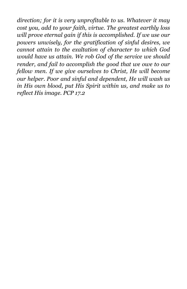*direction; for it is very unprofitable to us. Whatever it may cost you, add to your faith, virtue. The greatest earthly loss will prove eternal gain if this is accomplished. If we use our powers unwisely, for the gratification of sinful desires, we cannot attain to the exaltation of character to which God would have us attain. We rob God of the service we should render, and fail to accomplish the good that we owe to our fellow men. If we give ourselves to Christ, He will become our helper. Poor and sinful and dependent, He will wash us in His own blood, put His Spirit within us, and make us to reflect His image. PCP 17.2*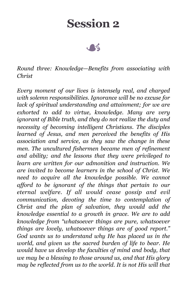*Round three: Knowledge—Benefits from associating with Christ* 

*Every moment of our lives is intensely real, and charged with solemn responsibilities. Ignorance will be no excuse for lack of spiritual understanding and attainment; for we are exhorted to add to virtue, knowledge. Many are very ignorant of Bible truth, and they do not realize the duty and necessity of becoming intelligent Christians. The disciples learned of Jesus, and men perceived the benefits of His association and service, as they saw the change in these men. The uncultured fishermen became men of refinement and ability; and the lessons that they were privileged to learn are written for our admonition and instruction. We are invited to become learners in the school of Christ. We need to acquire all the knowledge possible. We cannot afford to be ignorant of the things that pertain to our eternal welfare. If all would cease gossip and evil communication, devoting the time to contemplation of Christ and the plan of salvation, they would add the knowledge essential to a growth in grace. We are to add knowledge from "whatsoever things are pure, whatsoever things are lovely, whatsoever things are of good report." God wants us to understand why He has placed us in the world, and given us the sacred burden of life to bear. He would have us develop the faculties of mind and body, that we may be a blessing to those around us, and that His glory may be reflected from us to the world. It is not His will that*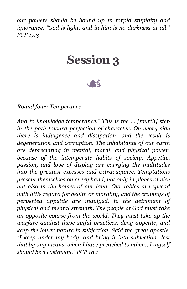*our powers should be bound up in torpid stupidity and ignorance. "God is light, and in him is no darkness at all." PCP 17.3* 

### **Session 3**

A

*Round four: Temperance* 

*And to knowledge temperance." This is the ... [fourth] step in the path toward perfection of character. On every side there is indulgence and dissipation, and the result is degeneration and corruption. The inhabitants of our earth are depreciating in mental, moral, and physical power, because of the intemperate habits of society. Appetite, passion, and love of display are carrying the multitudes into the greatest excesses and extravagance. Temptations present themselves on every hand, not only in places of vice but also in the homes of our land. Our tables are spread with little regard for health or morality, and the cravings of perverted appetite are indulged, to the detriment of physical and mental strength. The people of God must take an opposite course from the world. They must take up the warfare against these sinful practices, deny appetite, and keep the lower nature in subjection. Said the great apostle, "I keep under my body, and bring it into subjection: lest that by any means, when I have preached to others, I myself should be a castaway." PCP 18.1*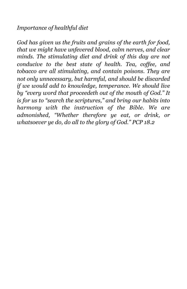#### *Importance of healthful diet*

*God has given us the fruits and grains of the earth for food, that we might have unfevered blood, calm nerves, and clear minds. The stimulating diet and drink of this day are not conducive to the best state of health. Tea, coffee, and tobacco are all stimulating, and contain poisons. They are not only unnecessary, but harmful, and should be discarded if we would add to knowledge, temperance. We should live by "every word that proceedeth out of the mouth of God." It is for us to "search the scriptures," and bring our habits into harmony with the instruction of the Bible. We are admonished, "Whether therefore ye eat, or drink, or whatsoever ye do, do all to the glory of God." PCP 18.2*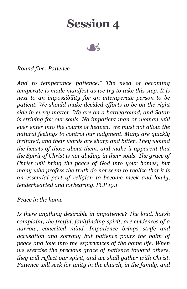

#### *Round five: Patience*

*And to temperance patience." The need of becoming temperate is made manifest as we try to take this step. It is next to an impossibility for an intemperate person to be patient. We should make decided efforts to be on the right side in every matter. We are on a battleground, and Satan is striving for our souls. No impatient man or woman will ever enter into the courts of heaven. We must not allow the natural feelings to control our judgment. Many are quickly irritated, and their words are sharp and bitter. They wound the hearts of those about them, and make it apparent that the Spirit of Christ is not abiding in their souls. The grace of Christ will bring the peace of God into your homes; but many who profess the truth do not seem to realize that it is an essential part of religion to become meek and lowly, tenderhearted and forbearing. PCP 19.1* 

#### *Peace in the home*

*Is there anything desirable in impatience? The loud, harsh complaint, the fretful, faultfinding spirit, are evidences of a narrow, conceited mind. Impatience brings strife and accusation and sorrow; but patience pours the balm of peace and love into the experiences of the home life. When we exercise the precious grace of patience toward others, they will reflect our spirit, and we shall gather with Christ. Patience will seek for unity in the church, in the family, and*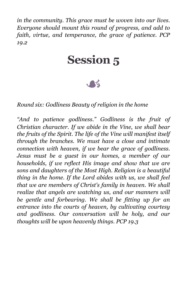*in the community. This grace must be woven into our lives. Everyone should mount this round of progress, and add to faith, virtue, and temperance, the grace of patience. PCP 19.2* 

### **Session 5**

 $\mathcal{A}$ 

#### *Round six: Godliness Beauty of religion in the home*

*"And to patience godliness." Godliness is the fruit of Christian character. If we abide in the Vine, we shall bear the fruits of the Spirit. The life of the Vine will manifest itself through the branches. We must have a close and intimate connection with heaven, if we bear the grace of godliness. Jesus must be a guest in our homes, a member of our households, if we reflect His image and show that we are sons and daughters of the Most High. Religion is a beautiful thing in the home. If the Lord abides with us, we shall feel that we are members of Christ's family in heaven. We shall realize that angels are watching us, and our manners will be gentle and forbearing. We shall be fitting up for an entrance into the courts of heaven, by cultivating courtesy and godliness. Our conversation will be holy, and our thoughts will be upon heavenly things. PCP 19.3*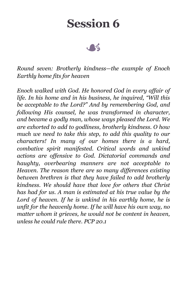$\sim$ 

*Round seven: Brotherly kindness—the example of Enoch Earthly home fits for heaven* 

*Enoch walked with God. He honored God in every affair of life. In his home and in his business, he inquired, "Will this be acceptable to the Lord?" And by remembering God, and following His counsel, he was transformed in character, and became a godly man, whose ways pleased the Lord. We are exhorted to add to godliness, brotherly kindness. O how much we need to take this step, to add this quality to our characters! In many of our homes there is a hard, combative spirit manifested. Critical words and unkind actions are offensive to God. Dictatorial commands and haughty, overbearing manners are not acceptable to Heaven. The reason there are so many differences existing between brethren is that they have failed to add brotherly kindness. We should have that love for others that Christ has had for us. A man is estimated at his true value by the Lord of heaven. If he is unkind in his earthly home, he is unfit for the heavenly home. If he will have his own way, no matter whom it grieves, he would not be content in heaven, unless he could rule there. PCP 20.1*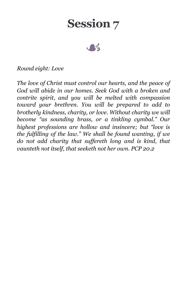

#### *Round eight: Love*

*The love of Christ must control our hearts, and the peace of God will abide in our homes. Seek God with a broken and contrite spirit, and you will be melted with compassion toward your brethren. You will be prepared to add to brotherly kindness, charity, or love. Without charity we will become "as sounding brass, or a tinkling cymbal." Our highest professions are hollow and insincere; but "love is the fulfilling of the law." We shall be found wanting, if we do not add charity that suffereth long and is kind, that vaunteth not itself, that seeketh not her own. PCP 20.2*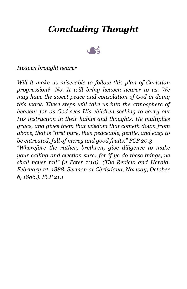### *Concluding Thought*



#### *Heaven brought nearer*

*Will it make us miserable to follow this plan of Christian progression?—No. It will bring heaven nearer to us. We may have the sweet peace and consolation of God in doing this work. These steps will take us into the atmosphere of heaven; for as God sees His children seeking to carry out His instruction in their habits and thoughts, He multiplies grace, and gives them that wisdom that cometh down from above, that is "first pure, then peaceable, gentle, and easy to be entreated, full of mercy and good fruits." PCP 20.3 "Wherefore the rather, brethren, give diligence to make your calling and election sure: for if ye do these things, ye shall never fall" (2 Peter 1:10). (The Review and Herald, February 21, 1888. Sermon at Christiana, Norway, October 6, 1886.). PCP 21.1*